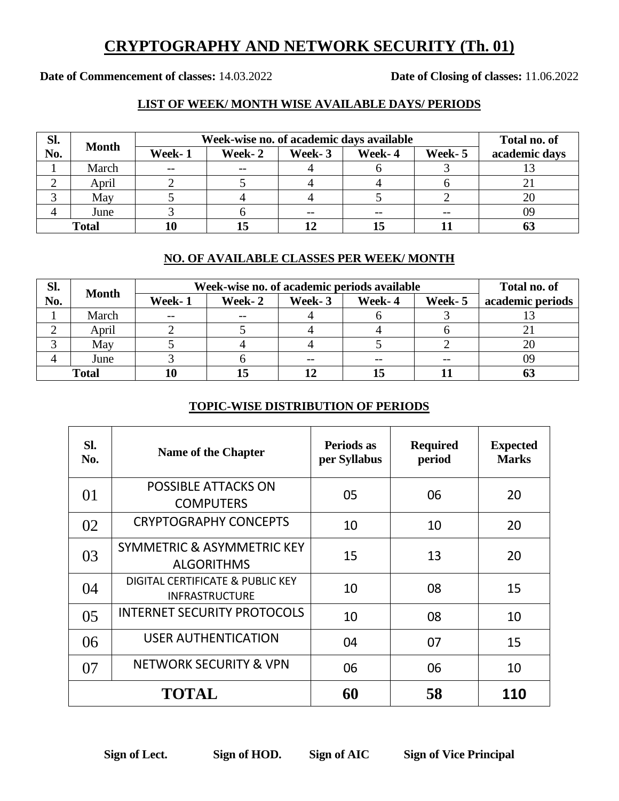## **CRYPTOGRAPHY AND NETWORK SECURITY (Th. 01)**

**Date of Commencement of classes:** 14.03.2022 **Date of Closing of classes:** 11.06.2022

### **LIST OF WEEK/ MONTH WISE AVAILABLE DAYS/ PERIODS**

| Sl.          | <b>Month</b> |        | Week-wise no. of academic days available |        |        |         |               |
|--------------|--------------|--------|------------------------------------------|--------|--------|---------|---------------|
| No.          |              | Week-1 | Week-2                                   | Week-3 | Week-4 | Week- 5 | academic days |
|              | March        | $- -$  | $- -$                                    |        |        |         |               |
|              | April        |        |                                          |        |        |         |               |
|              | May          |        |                                          |        |        |         |               |
|              | June         |        |                                          | $- -$  |        | $- -$   | 09            |
| <b>Total</b> |              |        |                                          |        |        |         |               |

#### **NO. OF AVAILABLE CLASSES PER WEEK/ MONTH**

| SI.          | <b>Month</b> | Week-wise no. of academic periods available | Total no. of |        |        |         |                  |
|--------------|--------------|---------------------------------------------|--------------|--------|--------|---------|------------------|
| No.          |              | Week-1                                      | Week-2       | Week-3 | Week-4 | Week- 5 | academic periods |
|              | March        | $- -$                                       | $- -$        |        |        |         |                  |
|              | April        |                                             |              |        |        |         |                  |
|              | May          |                                             |              |        |        |         |                  |
|              | June         |                                             |              |        |        |         | 09               |
| <b>Total</b> |              |                                             |              |        |        |         | 0.               |

### **TOPIC-WISE DISTRIBUTION OF PERIODS**

| SI.<br>No.     | <b>Name of the Chapter</b>                                | Periods as<br>per Syllabus | <b>Required</b><br>period | <b>Expected</b><br><b>Marks</b> |
|----------------|-----------------------------------------------------------|----------------------------|---------------------------|---------------------------------|
| 01             | <b>POSSIBLE ATTACKS ON</b><br><b>COMPUTERS</b>            | 05                         | 06                        | 20                              |
| 02             | <b>CRYPTOGRAPHY CONCEPTS</b>                              | 10                         | 10                        | 20                              |
| 03             | SYMMETRIC & ASYMMETRIC KEY<br><b>ALGORITHMS</b>           | 15                         | 13                        | 20                              |
| 04             | DIGITAL CERTIFICATE & PUBLIC KEY<br><b>INFRASTRUCTURE</b> | 10                         | 08                        | 15                              |
| 0 <sub>5</sub> | <b>INTERNET SECURITY PROTOCOLS</b>                        | 10                         | 08                        | 10                              |
| 06             | <b>USER AUTHENTICATION</b>                                | 04                         | 07                        | 15                              |
| 07             | <b>NETWORK SECURITY &amp; VPN</b>                         | 06                         | 06                        | 10                              |
|                | <b>TOTAL</b>                                              | 60                         | 58                        | 110                             |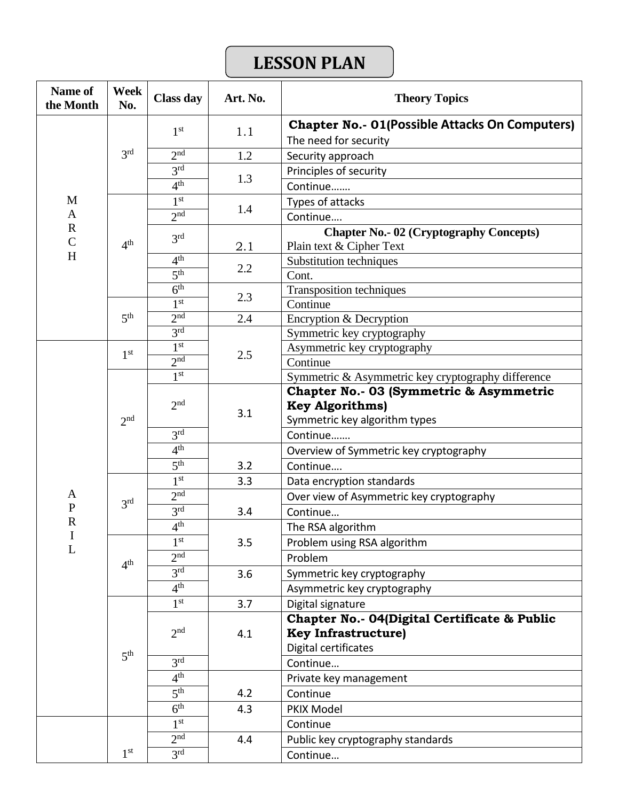# **LESSON PLAN**

| <b>Name of</b><br>the Month  | <b>Week</b><br>No.                                    | <b>Class day</b> | Art. No. | <b>Theory Topics</b>                                                                               |
|------------------------------|-------------------------------------------------------|------------------|----------|----------------------------------------------------------------------------------------------------|
|                              | 3 <sup>rd</sup>                                       | 1 <sup>st</sup>  | 1.1      | <b>Chapter No.- 01(Possible Attacks On Computers)</b><br>The need for security                     |
|                              |                                                       | 2 <sup>nd</sup>  | 1.2      | Security approach                                                                                  |
|                              |                                                       | 3 <sup>rd</sup>  |          | Principles of security                                                                             |
|                              |                                                       | 4 <sup>th</sup>  | 1.3      | Continue                                                                                           |
| M                            |                                                       | 1 <sup>st</sup>  |          | Types of attacks                                                                                   |
| $\mathbf{A}$                 |                                                       | 2 <sup>nd</sup>  | 1.4      | Continue                                                                                           |
| $\mathbf R$<br>$\mathcal{C}$ | 4 <sup>th</sup>                                       | 3 <sup>rd</sup>  | 2.1      | <b>Chapter No.- 02 (Cryptography Concepts)</b><br>Plain text & Cipher Text                         |
| H                            |                                                       | 4 <sup>th</sup>  |          | Substitution techniques                                                                            |
|                              |                                                       | 5 <sup>th</sup>  | 2.2      | Cont.                                                                                              |
|                              |                                                       | 6 <sup>th</sup>  | 2.3      | Transposition techniques                                                                           |
|                              |                                                       | 1 <sup>st</sup>  |          | Continue                                                                                           |
|                              | 5 <sup>th</sup>                                       | 2 <sup>nd</sup>  | 2.4      | Encryption & Decryption                                                                            |
|                              |                                                       | 3 <sup>rd</sup>  |          | Symmetric key cryptography                                                                         |
|                              | 1 <sup>st</sup><br>2 <sup>nd</sup><br>3 <sup>rd</sup> | 1 <sup>st</sup>  | 2.5      | Asymmetric key cryptography                                                                        |
|                              |                                                       | 2 <sup>nd</sup>  |          | Continue                                                                                           |
|                              |                                                       | 1 <sup>st</sup>  |          | Symmetric & Asymmetric key cryptography difference                                                 |
|                              |                                                       | 2 <sup>nd</sup>  | 3.1      | Chapter No.- 03 (Symmetric & Asymmetric<br><b>Key Algorithms)</b><br>Symmetric key algorithm types |
|                              |                                                       | 3 <sup>rd</sup>  |          | Continue                                                                                           |
|                              |                                                       | 4 <sup>th</sup>  |          | Overview of Symmetric key cryptography                                                             |
|                              |                                                       | 5 <sup>th</sup>  | 3.2      | Continue                                                                                           |
|                              |                                                       | 1 <sup>st</sup>  | 3.3      | Data encryption standards                                                                          |
| A                            |                                                       | 2 <sup>nd</sup>  |          | Over view of Asymmetric key cryptography                                                           |
| $\mathbf P$                  |                                                       | 3 <sup>rd</sup>  | 3.4      | Continue                                                                                           |
| $\mathbf R$                  |                                                       | 4 <sup>th</sup>  |          | The RSA algorithm                                                                                  |
| I<br>L                       | 4 <sup>th</sup>                                       | 1 <sup>st</sup>  | 3.5      | Problem using RSA algorithm                                                                        |
|                              |                                                       | 2 <sup>nd</sup>  |          | Problem                                                                                            |
|                              |                                                       | 3 <sup>rd</sup>  | 3.6      | Symmetric key cryptography                                                                         |
|                              |                                                       | 4 <sup>th</sup>  |          | Asymmetric key cryptography                                                                        |
|                              | 5 <sup>th</sup>                                       | 1 <sup>st</sup>  | 3.7      | Digital signature                                                                                  |
|                              |                                                       | 2 <sub>nd</sub>  | 4.1      | Chapter No.- 04(Digital Certificate & Public<br><b>Key Infrastructure)</b><br>Digital certificates |
|                              |                                                       | 3 <sup>rd</sup>  |          | Continue                                                                                           |
|                              |                                                       | 4 <sup>th</sup>  |          | Private key management                                                                             |
|                              |                                                       | 5 <sup>th</sup>  | 4.2      | Continue                                                                                           |
|                              |                                                       | 6 <sup>th</sup>  | 4.3      | PKIX Model                                                                                         |
|                              | 1 <sup>st</sup>                                       | 1 <sup>st</sup>  |          | Continue                                                                                           |
|                              |                                                       | 2 <sup>nd</sup>  | 4.4      | Public key cryptography standards                                                                  |
|                              |                                                       | 3 <sup>rd</sup>  |          | Continue                                                                                           |